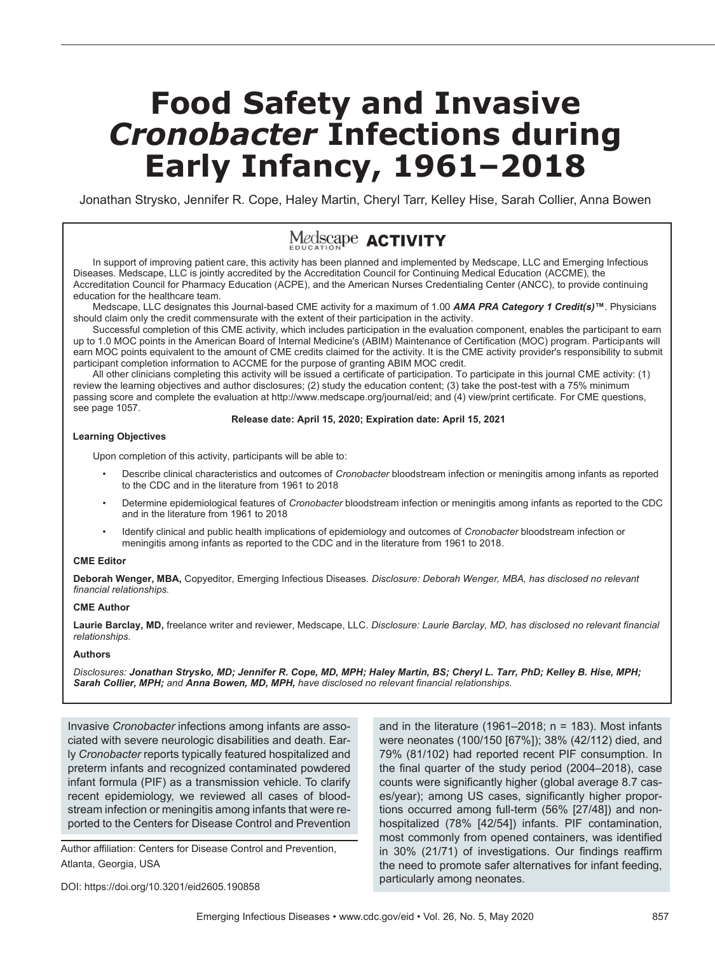# **Food Safety and Invasive**  *Cronobacter* **Infections during Early Infancy, 1961–2018**

Jonathan Strysko, Jennifer R. Cope, Haley Martin, Cheryl Tarr, Kelley Hise, Sarah Collier, Anna Bowen

## Medscape **ACTIVITY**

In support of improving patient care, this activity has been planned and implemented by Medscape, LLC and Emerging Infectious Diseases. Medscape, LLC is jointly accredited by the Accreditation Council for Continuing Medical Education (ACCME), the Accreditation Council for Pharmacy Education (ACPE), and the American Nurses Credentialing Center (ANCC), to provide continuing education for the healthcare team.

Medscape, LLC designates this Journal-based CME activity for a maximum of 1.00 *AMA PRA Category 1 Credit(s)***™**. Physicians should claim only the credit commensurate with the extent of their participation in the activity.

Successful completion of this CME activity, which includes participation in the evaluation component, enables the participant to earn up to 1.0 MOC points in the American Board of Internal Medicine's (ABIM) Maintenance of Certification (MOC) program. Participants will earn MOC points equivalent to the amount of CME credits claimed for the activity. It is the CME activity provider's responsibility to submit participant completion information to ACCME for the purpose of granting ABIM MOC credit.

All other clinicians completing this activity will be issued a certificate of participation. To participate in this journal CME activity: (1) review the learning objectives and author disclosures; (2) study the education content; (3) take the post-test with a 75% minimum passing score and complete the evaluation at http://www.medscape.org/journal/eid; and (4) view/print certificate. For CME questions, see page 1057.

#### **Release date: April 15, 2020; Expiration date: April 15, 2021**

#### **Learning Objectives**

Upon completion of this activity, participants will be able to:

- Describe clinical characteristics and outcomes of *Cronobacter* bloodstream infection or meningitis among infants as reported to the CDC and in the literature from 1961 to 2018
- Determine epidemiological features of *Cronobacter* bloodstream infection or meningitis among infants as reported to the CDC and in the literature from 1961 to 2018
- Identify clinical and public health implications of epidemiology and outcomes of *Cronobacter* bloodstream infection or meningitis among infants as reported to the CDC and in the literature from 1961 to 2018.

#### **CME Editor**

**Deborah Wenger, MBA,** Copyeditor, Emerging Infectious Diseases. *Disclosure: Deborah Wenger, MBA, has disclosed no relevant financial relationships.*

#### **CME Author**

**Laurie Barclay, MD,** freelance writer and reviewer, Medscape, LLC. *Disclosure: Laurie Barclay, MD, has disclosed no relevant financial relationships.*

#### **Authors**

*Disclosures: Jonathan Strysko, MD; Jennifer R. Cope, MD, MPH; Haley Martin, BS; Cheryl L. Tarr, PhD; Kelley B. Hise, MPH; Sarah Collier, MPH; and Anna Bowen, MD, MPH, have disclosed no relevant financial relationships.*

Invasive *Cronobacter* infections among infants are associated with severe neurologic disabilities and death. Early *Cronobacter* reports typically featured hospitalized and preterm infants and recognized contaminated powdered infant formula (PIF) as a transmission vehicle. To clarify recent epidemiology, we reviewed all cases of bloodstream infection or meningitis among infants that were reported to the Centers for Disease Control and Prevention

Author affiliation: Centers for Disease Control and Prevention, Atlanta, Georgia, USA

DOI: https://doi.org/10.3201/eid2605.190858

and in the literature (1961–2018;  $n = 183$ ). Most infants were neonates (100/150 [67%]); 38% (42/112) died, and 79% (81/102) had reported recent PIF consumption. In the final quarter of the study period (2004–2018), case counts were significantly higher (global average 8.7 cases/year); among US cases, significantly higher proportions occurred among full-term (56% [27/48]) and nonhospitalized (78% [42/54]) infants. PIF contamination, most commonly from opened containers, was identified in 30% (21/71) of investigations. Our findings reaffirm the need to promote safer alternatives for infant feeding, particularly among neonates.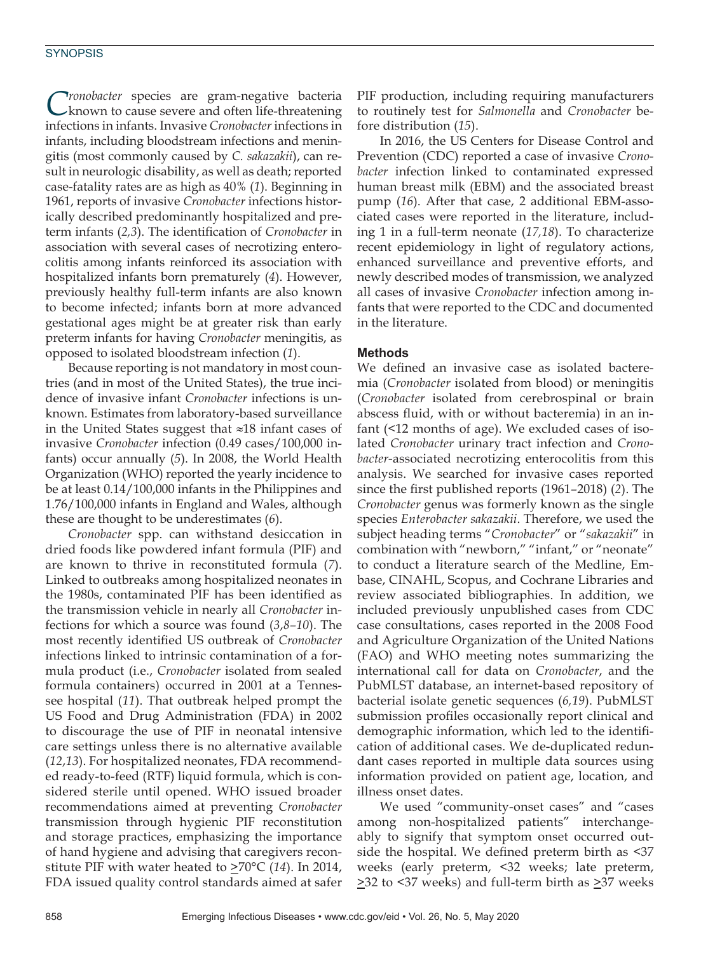*Cronobacter* species are gram-negative bacteria known to cause severe and often life-threatening infections in infants. Invasive *Cronobacter* infections in infants, including bloodstream infections and meningitis (most commonly caused by *C. sakazakii*), can result in neurologic disability, as well as death; reported case-fatality rates are as high as 40% (*1*). Beginning in 1961, reports of invasive *Cronobacter* infections historically described predominantly hospitalized and preterm infants (*2,3*). The identification of *Cronobacter* in association with several cases of necrotizing enterocolitis among infants reinforced its association with hospitalized infants born prematurely (*4*). However, previously healthy full-term infants are also known to become infected; infants born at more advanced gestational ages might be at greater risk than early preterm infants for having *Cronobacter* meningitis, as opposed to isolated bloodstream infection (*1*).

Because reporting is not mandatory in most countries (and in most of the United States), the true incidence of invasive infant *Cronobacter* infections is unknown. Estimates from laboratory-based surveillance in the United States suggest that ≈18 infant cases of invasive *Cronobacter* infection (0.49 cases/100,000 infants) occur annually (*5*). In 2008, the World Health Organization (WHO) reported the yearly incidence to be at least 0.14/100,000 infants in the Philippines and 1.76/100,000 infants in England and Wales, although these are thought to be underestimates (*6*).

*Cronobacter* spp. can withstand desiccation in dried foods like powdered infant formula (PIF) and are known to thrive in reconstituted formula (*7*). Linked to outbreaks among hospitalized neonates in the 1980s, contaminated PIF has been identified as the transmission vehicle in nearly all *Cronobacter* infections for which a source was found (*3*,*8–10*). The most recently identified US outbreak of *Cronobacter* infections linked to intrinsic contamination of a formula product (i.e., *Cronobacter* isolated from sealed formula containers) occurred in 2001 at a Tennessee hospital (*11*). That outbreak helped prompt the US Food and Drug Administration (FDA) in 2002 to discourage the use of PIF in neonatal intensive care settings unless there is no alternative available (*12*,*13*). For hospitalized neonates, FDA recommended ready-to-feed (RTF) liquid formula, which is considered sterile until opened. WHO issued broader recommendations aimed at preventing *Cronobacter* transmission through hygienic PIF reconstitution and storage practices, emphasizing the importance of hand hygiene and advising that caregivers reconstitute PIF with water heated to  $\geq 70^{\circ}$ C (14). In 2014, FDA issued quality control standards aimed at safer

PIF production, including requiring manufacturers to routinely test for *Salmonella* and *Cronobacter* before distribution (*15*).

In 2016, the US Centers for Disease Control and Prevention (CDC) reported a case of invasive *Cronobacter* infection linked to contaminated expressed human breast milk (EBM) and the associated breast pump (*16*). After that case, 2 additional EBM-associated cases were reported in the literature, including 1 in a full-term neonate (*17,18*). To characterize recent epidemiology in light of regulatory actions, enhanced surveillance and preventive efforts, and newly described modes of transmission, we analyzed all cases of invasive *Cronobacter* infection among infants that were reported to the CDC and documented in the literature.

#### **Methods**

We defined an invasive case as isolated bacteremia (*Cronobacter* isolated from blood) or meningitis (*Cronobacter* isolated from cerebrospinal or brain abscess fluid, with or without bacteremia) in an infant (<12 months of age). We excluded cases of isolated *Cronobacter* urinary tract infection and *Cronobacter-*associated necrotizing enterocolitis from this analysis. We searched for invasive cases reported since the first published reports (1961–2018) (*2*). The *Cronobacter* genus was formerly known as the single species *Enterobacter sakazakii*. Therefore, we used the subject heading terms "*Cronobacter*" or "*sakazakii*" in combination with "newborn," "infant," or "neonate" to conduct a literature search of the Medline, Embase, CINAHL, Scopus, and Cochrane Libraries and review associated bibliographies. In addition, we included previously unpublished cases from CDC case consultations, cases reported in the 2008 Food and Agriculture Organization of the United Nations (FAO) and WHO meeting notes summarizing the international call for data on *Cronobacter*, and the PubMLST database, an internet-based repository of bacterial isolate genetic sequences (*6,19*). PubMLST submission profiles occasionally report clinical and demographic information, which led to the identification of additional cases. We de-duplicated redundant cases reported in multiple data sources using information provided on patient age, location, and illness onset dates.

We used "community-onset cases" and "cases among non-hospitalized patients" interchangeably to signify that symptom onset occurred outside the hospital. We defined preterm birth as <37 weeks (early preterm, <32 weeks; late preterm, >32 to <37 weeks) and full-term birth as >37 weeks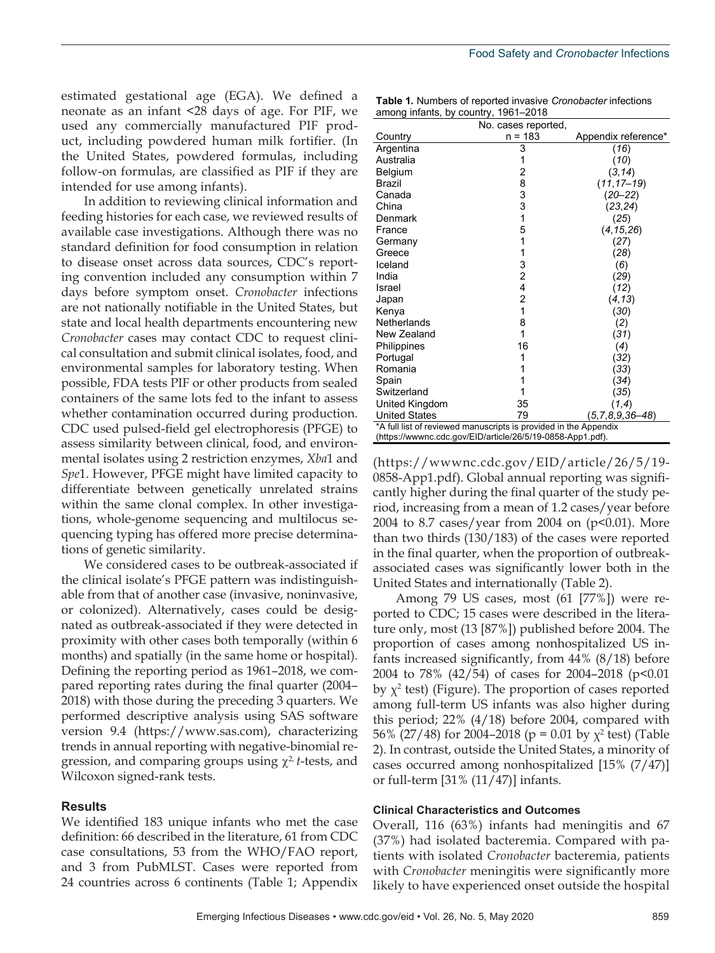estimated gestational age (EGA). We defined a neonate as an infant <28 days of age. For PIF, we used any commercially manufactured PIF product, including powdered human milk fortifier. (In the United States, powdered formulas, including follow-on formulas, are classified as PIF if they are intended for use among infants).

In addition to reviewing clinical information and feeding histories for each case, we reviewed results of available case investigations. Although there was no standard definition for food consumption in relation to disease onset across data sources, CDC's reporting convention included any consumption within 7 days before symptom onset. *Cronobacter* infections are not nationally notifiable in the United States, but state and local health departments encountering new *Cronobacter* cases may contact CDC to request clinical consultation and submit clinical isolates, food, and environmental samples for laboratory testing. When possible, FDA tests PIF or other products from sealed containers of the same lots fed to the infant to assess whether contamination occurred during production. CDC used pulsed-field gel electrophoresis (PFGE) to assess similarity between clinical, food, and environmental isolates using 2 restriction enzymes, *Xba*1 and *Spe*1. However, PFGE might have limited capacity to differentiate between genetically unrelated strains within the same clonal complex. In other investigations, whole-genome sequencing and multilocus sequencing typing has offered more precise determinations of genetic similarity.

We considered cases to be outbreak-associated if the clinical isolate's PFGE pattern was indistinguishable from that of another case (invasive, noninvasive, or colonized). Alternatively, cases could be designated as outbreak-associated if they were detected in proximity with other cases both temporally (within 6 months) and spatially (in the same home or hospital). Defining the reporting period as 1961–2018, we compared reporting rates during the final quarter (2004– 2018) with those during the preceding 3 quarters. We performed descriptive analysis using SAS software version 9.4 (https://www.sas.com), characterizing trends in annual reporting with negative-binomial regression, and comparing groups using  $χ²$ *t*-tests, and Wilcoxon signed-rank tests.

#### **Results**

We identified 183 unique infants who met the case definition: 66 described in the literature, 61 from CDC case consultations, 53 from the WHO/FAO report, and 3 from PubMLST. Cases were reported from 24 countries across 6 continents (Table 1; Appendix

**Table 1.** Numbers of reported invasive *Cronobacter* infections among infants, by country, 1961–2018

|                                                                  | No. cases reported,                             |                         |  |  |  |  |
|------------------------------------------------------------------|-------------------------------------------------|-------------------------|--|--|--|--|
| Country                                                          | $n = 183$                                       | Appendix reference*     |  |  |  |  |
| Argentina                                                        | 3                                               | (16)                    |  |  |  |  |
| Australia                                                        | 1                                               | (10)                    |  |  |  |  |
| Belgium                                                          | $\overline{c}$                                  | (3, 14)                 |  |  |  |  |
| Brazil                                                           | 8                                               | $(11, 17 - 19)$         |  |  |  |  |
| Canada                                                           | $\begin{array}{c} 3 \\ 3 \\ 1 \end{array}$      | $(20 - 22)$             |  |  |  |  |
| China                                                            |                                                 | (23, 24)                |  |  |  |  |
| Denmark                                                          |                                                 | (25)                    |  |  |  |  |
| France                                                           | 5                                               | (4, 15, 26)             |  |  |  |  |
| Germany                                                          | 1                                               | (27)                    |  |  |  |  |
| Greece                                                           | 1                                               | (28)                    |  |  |  |  |
| Iceland                                                          | $\begin{array}{c} 3 \\ 2 \\ 4 \\ 2 \end{array}$ | (6)                     |  |  |  |  |
| India                                                            |                                                 | (29)                    |  |  |  |  |
| Israel                                                           |                                                 | (12)                    |  |  |  |  |
| Japan                                                            |                                                 | (4, 13)                 |  |  |  |  |
| Kenya                                                            | $\mathbf{1}$                                    | (30)                    |  |  |  |  |
| Netherlands                                                      | 8                                               | (2)                     |  |  |  |  |
| New Zealand                                                      | 1                                               | (31)                    |  |  |  |  |
| Philippines                                                      | 16                                              | (4)                     |  |  |  |  |
| Portugal                                                         | 1                                               | (32)                    |  |  |  |  |
| Romania                                                          |                                                 | (33)                    |  |  |  |  |
| Spain                                                            |                                                 | (34)                    |  |  |  |  |
| Switzerland                                                      | 1                                               | (35)                    |  |  |  |  |
| United Kingdom                                                   | 35                                              | (1,4)                   |  |  |  |  |
| <b>United States</b>                                             | 79                                              | $(5, 7, 8, 9, 36 - 48)$ |  |  |  |  |
| *A full list of reviewed manuscripts is provided in the Appendix |                                                 |                         |  |  |  |  |
| (https://wwwnc.cdc.gov/EID/article/26/5/19-0858-App1.pdf).       |                                                 |                         |  |  |  |  |

(https://wwwnc.cdc.gov/EID/article/26/5/19- 0858-App1.pdf). Global annual reporting was significantly higher during the final quarter of the study period, increasing from a mean of 1.2 cases/year before 2004 to 8.7 cases/year from 2004 on  $(p<0.01)$ . More than two thirds (130/183) of the cases were reported in the final quarter, when the proportion of outbreakassociated cases was significantly lower both in the United States and internationally (Table 2).

Among 79 US cases, most (61 [77%]) were reported to CDC; 15 cases were described in the literature only, most (13 [87%]) published before 2004. The proportion of cases among nonhospitalized US infants increased significantly, from 44% (8/18) before 2004 to 78% (42/54) of cases for 2004–2018 (p*<*0.01 by  $\chi^2$  test) (Figure). The proportion of cases reported among full-term US infants was also higher during this period; 22% (4/18) before 2004, compared with 56% (27/48) for 2004–2018 (p *=* 0.01 by χ<sup>2</sup> test) (Table 2). In contrast, outside the United States, a minority of cases occurred among nonhospitalized [15% (7/47)] or full-term [31% (11/47)] infants.

#### **Clinical Characteristics and Outcomes**

Overall, 116 (63%) infants had meningitis and 67 (37%) had isolated bacteremia. Compared with patients with isolated *Cronobacter* bacteremia, patients with *Cronobacter* meningitis were significantly more likely to have experienced onset outside the hospital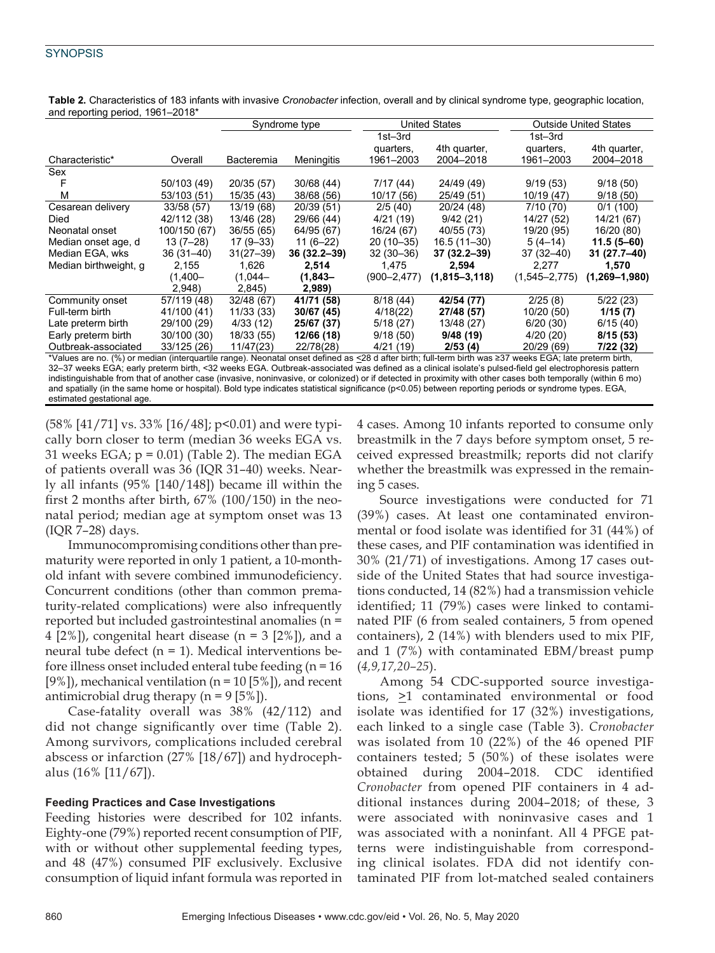|                                                                                                                                                       |              | and reporting period, $1501-2010$ |               |                  |                      |                   |                              |  |  |
|-------------------------------------------------------------------------------------------------------------------------------------------------------|--------------|-----------------------------------|---------------|------------------|----------------------|-------------------|------------------------------|--|--|
|                                                                                                                                                       |              |                                   | Syndrome type |                  | <b>United States</b> |                   | <b>Outside United States</b> |  |  |
|                                                                                                                                                       |              |                                   |               | 1st–3rd          |                      | 1st–3rd           |                              |  |  |
|                                                                                                                                                       |              |                                   |               | quarters,        | 4th quarter,         | quarters,         | 4th quarter,                 |  |  |
| Characteristic*                                                                                                                                       | Overall      | Bacteremia                        | Meningitis    | 1961-2003        | 2004-2018            | 1961–2003         | 2004-2018                    |  |  |
| Sex                                                                                                                                                   |              |                                   |               |                  |                      |                   |                              |  |  |
|                                                                                                                                                       | 50/103 (49)  | 20/35 (57)                        | 30/68 (44)    | 7/17 (44)        | 24/49 (49)           | 9/19(53)          | 9/18(50)                     |  |  |
| м                                                                                                                                                     | 53/103 (51)  | 15/35 (43)                        | 38/68 (56)    | 10/17 (56)       | 25/49 (51)           | 10/19 (47)        | 9/18(50)                     |  |  |
| Cesarean delivery                                                                                                                                     | 33/58 (57)   | 13/19 (68)                        | 20/39 (51)    | 2/5(40)          | 20/24 (48)           | 7/10 (70)         | 0/1(100)                     |  |  |
| <b>Died</b>                                                                                                                                           | 42/112 (38)  | 13/46 (28)                        | 29/66 (44)    | 4/21 (19)        | 9/42(21)             | 14/27 (52)        | 14/21 (67)                   |  |  |
| Neonatal onset                                                                                                                                        | 100/150 (67) | 36/55 (65)                        | 64/95 (67)    | 16/24 (67)       | 40/55 (73)           | 19/20 (95)        | 16/20 (80)                   |  |  |
| Median onset age, d                                                                                                                                   | $13(7-28)$   | $17(9-33)$                        | $11(6-22)$    | $20(10-35)$      | 16.5 (11-30)         | $5(4-14)$         | $11.5(5 - 60)$               |  |  |
| Median EGA, wks                                                                                                                                       | 36 (31–40)   | $31(27 - 39)$                     | 36 (32.2–39)  | $32(30-36)$      | 37 (32.2-39)         | 37 (32–40)        | 31 (27.7–40)                 |  |  |
| Median birthweight, g                                                                                                                                 | 2,155        | 1,626                             | 2,514         | 1,475            | 2,594                | 2,277             | 1,570                        |  |  |
|                                                                                                                                                       | $(1,400 -$   | $(1,044-$                         | (1,843–       | $(900 - 2, 477)$ | $(1, 815 - 3, 118)$  | $(1,545 - 2,775)$ | $(1,269 - 1,980)$            |  |  |
|                                                                                                                                                       | 2,948        | 2,845)                            | 2,989)        |                  |                      |                   |                              |  |  |
| Community onset                                                                                                                                       | 57/119 (48)  | 32/48 (67)                        | 41/71 (58)    | 8/18(44)         | 42/54 (77)           | 2/25(8)           | 5/22(23)                     |  |  |
| Full-term birth                                                                                                                                       | 41/100 (41)  | 11/33 (33)                        | 30/67 (45)    | 4/18(22)         | 27/48 (57)           | 10/20(50)         | 1/15(7)                      |  |  |
| Late preterm birth                                                                                                                                    | 29/100 (29)  | 4/33(12)                          | 25/67 (37)    | 5/18(27)         | 13/48 (27)           | 6/20(30)          | 6/15(40)                     |  |  |
| Early preterm birth                                                                                                                                   | 30/100 (30)  | 18/33 (55)                        | 12/66 (18)    | 9/18(50)         | 9/48(19)             | 4/20(20)          | 8/15(53)                     |  |  |
| Outbreak-associated                                                                                                                                   | 33/125 (26)  | 11/47(23)                         | 22/78(28)     | 4/21 (19)        | 2/53(4)              | 20/29 (69)        | 7/22 (32)                    |  |  |
| *Values are no (%) or median (interguatile range). Neonatal onset defined as <28 d after birth: full-term birth was >37 weeks EGA: late preterm birth |              |                                   |               |                  |                      |                   |                              |  |  |

**Table 2.** Characteristics of 183 infants with invasive *Cronobacter* infection, overall and by clinical syndrome type, geographic location,  $\alpha$ riod 1061–2018<sup>\*</sup>

\*Values are no. (%) or median (interquartile range). Neonatal onset defined as <28 d after birth; full-term birth was ≥37 weeks EGA; late preterm birth, 32–37 weeks EGA; early preterm birth, <32 weeks EGA. Outbreak-associated was defined as a clinical isolate's pulsed-field gel electrophoresis pattern indistinguishable from that of another case (invasive, noninvasive, or colonized) or if detected in proximity with other cases both temporally (within 6 mo) and spatially (in the same home or hospital). Bold type indicates statistical significance (p<0.05) between reporting periods or syndrome types. EGA, estimated gestational age.

(58% [41/71] vs. 33% [16/48]; p<0.01) and were typically born closer to term (median 36 weeks EGA vs. 31 weeks EGA;  $p = 0.01$ ) (Table 2). The median EGA of patients overall was 36 (IQR 31–40) weeks. Nearly all infants (95% [140/148]) became ill within the first 2 months after birth, 67% (100/150) in the neonatal period; median age at symptom onset was 13 (IQR 7–28) days.

Immunocompromising conditions other than prematurity were reported in only 1 patient, a 10-monthold infant with severe combined immunodeficiency. Concurrent conditions (other than common prematurity-related complications) were also infrequently reported but included gastrointestinal anomalies (n = 4 [2%]), congenital heart disease ( $n = 3$  [2%]), and a neural tube defect  $(n = 1)$ . Medical interventions before illness onset included enteral tube feeding (n = 16 [9%]), mechanical ventilation ( $n = 10$  [5%]), and recent antimicrobial drug therapy ( $n = 9$  [5%]).

Case-fatality overall was 38% (42/112) and did not change significantly over time (Table 2). Among survivors, complications included cerebral abscess or infarction (27% [18/67]) and hydrocephalus (16% [11/67]).

#### **Feeding Practices and Case Investigations**

Feeding histories were described for 102 infants. Eighty-one (79%) reported recent consumption of PIF, with or without other supplemental feeding types, and 48 (47%) consumed PIF exclusively. Exclusive consumption of liquid infant formula was reported in 4 cases. Among 10 infants reported to consume only breastmilk in the 7 days before symptom onset, 5 received expressed breastmilk; reports did not clarify whether the breastmilk was expressed in the remaining 5 cases.

Source investigations were conducted for 71 (39%) cases. At least one contaminated environmental or food isolate was identified for 31 (44%) of these cases, and PIF contamination was identified in 30% (21/71) of investigations. Among 17 cases outside of the United States that had source investigations conducted, 14 (82%) had a transmission vehicle identified; 11 (79%) cases were linked to contaminated PIF (6 from sealed containers, 5 from opened containers), 2 (14%) with blenders used to mix PIF, and 1 (7%) with contaminated EBM/breast pump (*4,9,17,20–25*).

Among 54 CDC-supported source investigations,  $\geq 1$  contaminated environmental or food isolate was identified for 17 (32%) investigations, each linked to a single case (Table 3). *Cronobacter* was isolated from 10 (22%) of the 46 opened PIF containers tested; 5 (50%) of these isolates were obtained during 2004–2018. CDC identified *Cronobacter* from opened PIF containers in 4 additional instances during 2004–2018; of these, 3 were associated with noninvasive cases and 1 was associated with a noninfant. All 4 PFGE patterns were indistinguishable from corresponding clinical isolates. FDA did not identify contaminated PIF from lot-matched sealed containers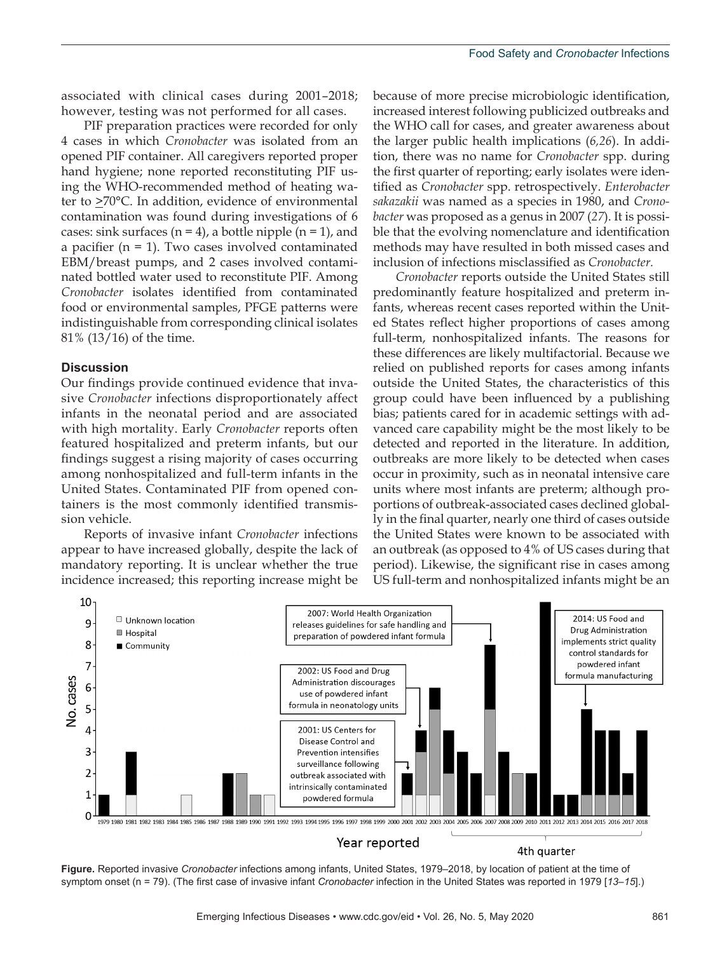associated with clinical cases during 2001–2018; however, testing was not performed for all cases.

PIF preparation practices were recorded for only 4 cases in which *Cronobacter* was isolated from an opened PIF container. All caregivers reported proper hand hygiene; none reported reconstituting PIF using the WHO-recommended method of heating water to  $\geq$ 70°C. In addition, evidence of environmental contamination was found during investigations of 6 cases: sink surfaces ( $n = 4$ ), a bottle nipple ( $n = 1$ ), and a pacifier (n = 1). Two cases involved contaminated EBM/breast pumps, and 2 cases involved contaminated bottled water used to reconstitute PIF. Among *Cronobacter* isolates identified from contaminated food or environmental samples, PFGE patterns were indistinguishable from corresponding clinical isolates 81% (13/16) of the time.

#### **Discussion**

Our findings provide continued evidence that invasive *Cronobacter* infections disproportionately affect infants in the neonatal period and are associated with high mortality. Early *Cronobacter* reports often featured hospitalized and preterm infants, but our findings suggest a rising majority of cases occurring among nonhospitalized and full-term infants in the United States. Contaminated PIF from opened containers is the most commonly identified transmission vehicle.

Reports of invasive infant *Cronobacter* infections appear to have increased globally, despite the lack of mandatory reporting. It is unclear whether the true incidence increased; this reporting increase might be

because of more precise microbiologic identification, increased interest following publicized outbreaks and the WHO call for cases, and greater awareness about the larger public health implications (*6,26*). In addition, there was no name for *Cronobacter* spp. during the first quarter of reporting; early isolates were identified as *Cronobacter* spp. retrospectively. *Enterobacter sakazakii* was named as a species in 1980, and *Cronobacter* was proposed as a genus in 2007 (*27*). It is possible that the evolving nomenclature and identification methods may have resulted in both missed cases and inclusion of infections misclassified as *Cronobacter.*

*Cronobacter* reports outside the United States still predominantly feature hospitalized and preterm infants, whereas recent cases reported within the United States reflect higher proportions of cases among full-term, nonhospitalized infants. The reasons for these differences are likely multifactorial. Because we relied on published reports for cases among infants outside the United States, the characteristics of this group could have been influenced by a publishing bias; patients cared for in academic settings with advanced care capability might be the most likely to be detected and reported in the literature. In addition, outbreaks are more likely to be detected when cases occur in proximity, such as in neonatal intensive care units where most infants are preterm; although proportions of outbreak-associated cases declined globally in the final quarter, nearly one third of cases outside the United States were known to be associated with an outbreak (as opposed to 4% of US cases during that period). Likewise, the significant rise in cases among US full-term and nonhospitalized infants might be an



**Figure.** Reported invasive *Cronobacter* infections among infants, United States, 1979–2018, by location of patient at the time of symptom onset (n = 79). (The first case of invasive infant *Cronobacter* infection in the United States was reported in 1979 [*13–15*].)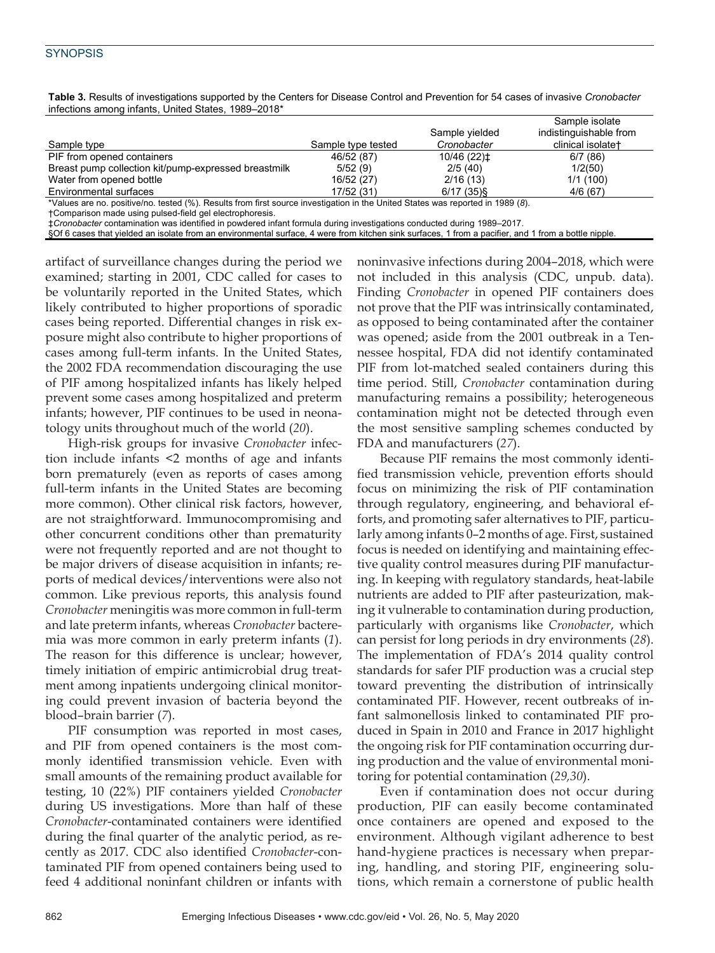|                                                      |                    | Sample yielded | Sample isolate<br>indistinguishable from |  |  |  |
|------------------------------------------------------|--------------------|----------------|------------------------------------------|--|--|--|
| Sample type                                          | Sample type tested | Cronobacter    | clinical isolate+                        |  |  |  |
| PIF from opened containers                           | 46/52 (87)         | 10/46 (22) ±   | 6/7(86)                                  |  |  |  |
| Breast pump collection kit/pump-expressed breastmilk | 5/52(9)            | 2/5(40)        | 1/2(50)                                  |  |  |  |
| Water from opened bottle                             | 16/52 (27)         | 2/16(13)       | 1/1(100)                                 |  |  |  |
| Environmental surfaces                               | 17/52 (31)         | $6/17(35)$ §   | 4/6(67)                                  |  |  |  |
| $\mathcal{L}$                                        |                    |                |                                          |  |  |  |

**Table 3.** Results of investigations supported by the Centers for Disease Control and Prevention for 54 cases of invasive *Cronobacter* infections among infants, United States, 1989–2018\*

\*Values are no. positive/no. tested (%). Results from first source investigation in the United States was reported in 1989 (*8*).

†Comparison made using pulsed-field gel electrophoresis.

‡*Cronobacter* contamination was identified in powdered infant formula during investigations conducted during 1989–2017.

§Of 6 cases that yielded an isolate from an environmental surface, 4 were from kitchen sink surfaces, 1 from a pacifier, and 1 from a bottle nipple.

artifact of surveillance changes during the period we examined; starting in 2001, CDC called for cases to be voluntarily reported in the United States, which likely contributed to higher proportions of sporadic cases being reported. Differential changes in risk exposure might also contribute to higher proportions of cases among full-term infants. In the United States, the 2002 FDA recommendation discouraging the use of PIF among hospitalized infants has likely helped prevent some cases among hospitalized and preterm infants; however, PIF continues to be used in neonatology units throughout much of the world (*20*).

High-risk groups for invasive *Cronobacter* infection include infants <2 months of age and infants born prematurely (even as reports of cases among full-term infants in the United States are becoming more common). Other clinical risk factors, however, are not straightforward. Immunocompromising and other concurrent conditions other than prematurity were not frequently reported and are not thought to be major drivers of disease acquisition in infants; reports of medical devices/interventions were also not common. Like previous reports, this analysis found *Cronobacter* meningitis was more common in full-term and late preterm infants, whereas *Cronobacter* bacteremia was more common in early preterm infants (*1*). The reason for this difference is unclear; however, timely initiation of empiric antimicrobial drug treatment among inpatients undergoing clinical monitoring could prevent invasion of bacteria beyond the blood–brain barrier (*7*).

PIF consumption was reported in most cases, and PIF from opened containers is the most commonly identified transmission vehicle. Even with small amounts of the remaining product available for testing, 10 (22%) PIF containers yielded *Cronobacter* during US investigations. More than half of these *Cronobacter*-contaminated containers were identified during the final quarter of the analytic period, as recently as 2017. CDC also identified *Cronobacter*-contaminated PIF from opened containers being used to feed 4 additional noninfant children or infants with noninvasive infections during 2004–2018, which were not included in this analysis (CDC, unpub. data). Finding *Cronobacter* in opened PIF containers does not prove that the PIF was intrinsically contaminated, as opposed to being contaminated after the container was opened; aside from the 2001 outbreak in a Tennessee hospital, FDA did not identify contaminated PIF from lot-matched sealed containers during this time period. Still, *Cronobacter* contamination during manufacturing remains a possibility; heterogeneous contamination might not be detected through even the most sensitive sampling schemes conducted by FDA and manufacturers (*27*).

Because PIF remains the most commonly identified transmission vehicle, prevention efforts should focus on minimizing the risk of PIF contamination through regulatory, engineering, and behavioral efforts, and promoting safer alternatives to PIF, particularly among infants 0–2 months of age. First, sustained focus is needed on identifying and maintaining effective quality control measures during PIF manufacturing. In keeping with regulatory standards, heat-labile nutrients are added to PIF after pasteurization, making it vulnerable to contamination during production, particularly with organisms like *Cronobacter*, which can persist for long periods in dry environments (*28*). The implementation of FDA's 2014 quality control standards for safer PIF production was a crucial step toward preventing the distribution of intrinsically contaminated PIF. However, recent outbreaks of infant salmonellosis linked to contaminated PIF produced in Spain in 2010 and France in 2017 highlight the ongoing risk for PIF contamination occurring during production and the value of environmental monitoring for potential contamination (*29,30*).

Even if contamination does not occur during production, PIF can easily become contaminated once containers are opened and exposed to the environment. Although vigilant adherence to best hand-hygiene practices is necessary when preparing, handling, and storing PIF, engineering solutions, which remain a cornerstone of public health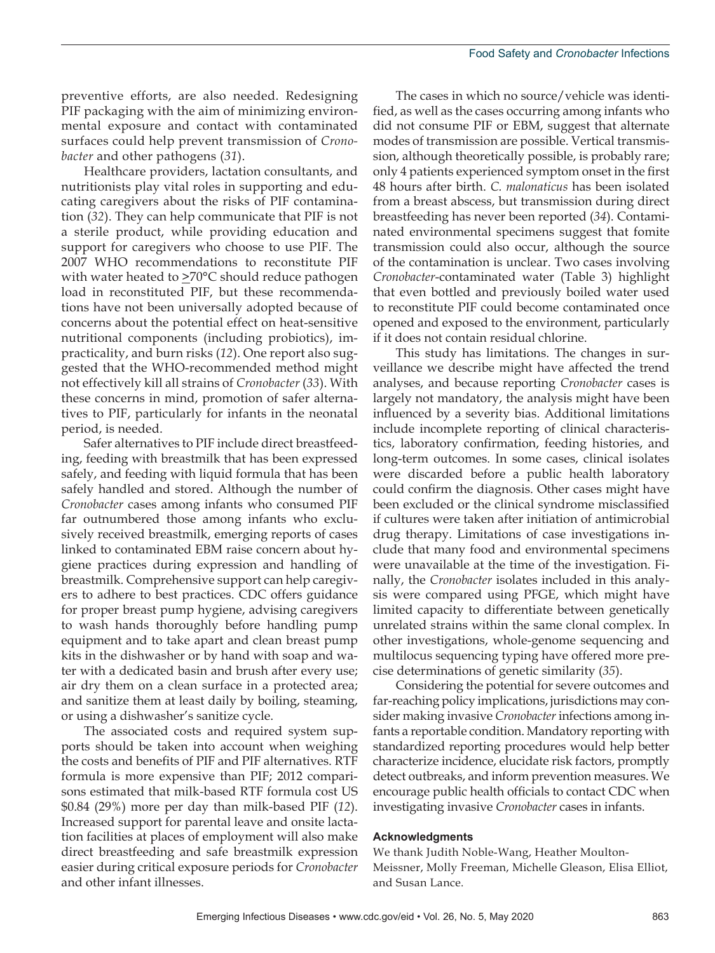preventive efforts, are also needed. Redesigning PIF packaging with the aim of minimizing environmental exposure and contact with contaminated surfaces could help prevent transmission of *Cronobacter* and other pathogens (*31*).

Healthcare providers, lactation consultants, and nutritionists play vital roles in supporting and educating caregivers about the risks of PIF contamination (*32*). They can help communicate that PIF is not a sterile product, while providing education and support for caregivers who choose to use PIF. The 2007 WHO recommendations to reconstitute PIF with water heated to  $\geq 70^{\circ}$ C should reduce pathogen load in reconstituted PIF, but these recommendations have not been universally adopted because of concerns about the potential effect on heat-sensitive nutritional components (including probiotics), impracticality, and burn risks (*12*). One report also suggested that the WHO-recommended method might not effectively kill all strains of *Cronobacter* (*33*). With these concerns in mind, promotion of safer alternatives to PIF, particularly for infants in the neonatal period, is needed.

Safer alternatives to PIF include direct breastfeeding, feeding with breastmilk that has been expressed safely, and feeding with liquid formula that has been safely handled and stored. Although the number of *Cronobacter* cases among infants who consumed PIF far outnumbered those among infants who exclusively received breastmilk, emerging reports of cases linked to contaminated EBM raise concern about hygiene practices during expression and handling of breastmilk. Comprehensive support can help caregivers to adhere to best practices. CDC offers guidance for proper breast pump hygiene, advising caregivers to wash hands thoroughly before handling pump equipment and to take apart and clean breast pump kits in the dishwasher or by hand with soap and water with a dedicated basin and brush after every use; air dry them on a clean surface in a protected area; and sanitize them at least daily by boiling, steaming, or using a dishwasher's sanitize cycle.

The associated costs and required system supports should be taken into account when weighing the costs and benefits of PIF and PIF alternatives. RTF formula is more expensive than PIF; 2012 comparisons estimated that milk-based RTF formula cost US \$0.84 (29%) more per day than milk-based PIF (*12*). Increased support for parental leave and onsite lactation facilities at places of employment will also make direct breastfeeding and safe breastmilk expression easier during critical exposure periods for *Cronobacter* and other infant illnesses.

The cases in which no source/vehicle was identified, as well as the cases occurring among infants who did not consume PIF or EBM, suggest that alternate modes of transmission are possible. Vertical transmission, although theoretically possible, is probably rare; only 4 patients experienced symptom onset in the first 48 hours after birth. *C. malonaticus* has been isolated from a breast abscess, but transmission during direct breastfeeding has never been reported (*34*). Contaminated environmental specimens suggest that fomite transmission could also occur, although the source of the contamination is unclear. Two cases involving *Cronobacter*-contaminated water (Table 3) highlight that even bottled and previously boiled water used to reconstitute PIF could become contaminated once opened and exposed to the environment, particularly if it does not contain residual chlorine.

This study has limitations. The changes in surveillance we describe might have affected the trend analyses, and because reporting *Cronobacter* cases is largely not mandatory, the analysis might have been influenced by a severity bias. Additional limitations include incomplete reporting of clinical characteristics, laboratory confirmation, feeding histories, and long-term outcomes. In some cases, clinical isolates were discarded before a public health laboratory could confirm the diagnosis. Other cases might have been excluded or the clinical syndrome misclassified if cultures were taken after initiation of antimicrobial drug therapy. Limitations of case investigations include that many food and environmental specimens were unavailable at the time of the investigation. Finally, the *Cronobacter* isolates included in this analysis were compared using PFGE, which might have limited capacity to differentiate between genetically unrelated strains within the same clonal complex. In other investigations, whole-genome sequencing and multilocus sequencing typing have offered more precise determinations of genetic similarity (*35*).

Considering the potential for severe outcomes and far-reaching policy implications, jurisdictions may consider making invasive *Cronobacter* infections among infants a reportable condition. Mandatory reporting with standardized reporting procedures would help better characterize incidence, elucidate risk factors, promptly detect outbreaks, and inform prevention measures. We encourage public health officials to contact CDC when investigating invasive *Cronobacter* cases in infants.

#### **Acknowledgments**

We thank Judith Noble-Wang, Heather Moulton-Meissner, Molly Freeman, Michelle Gleason, Elisa Elliot, and Susan Lance.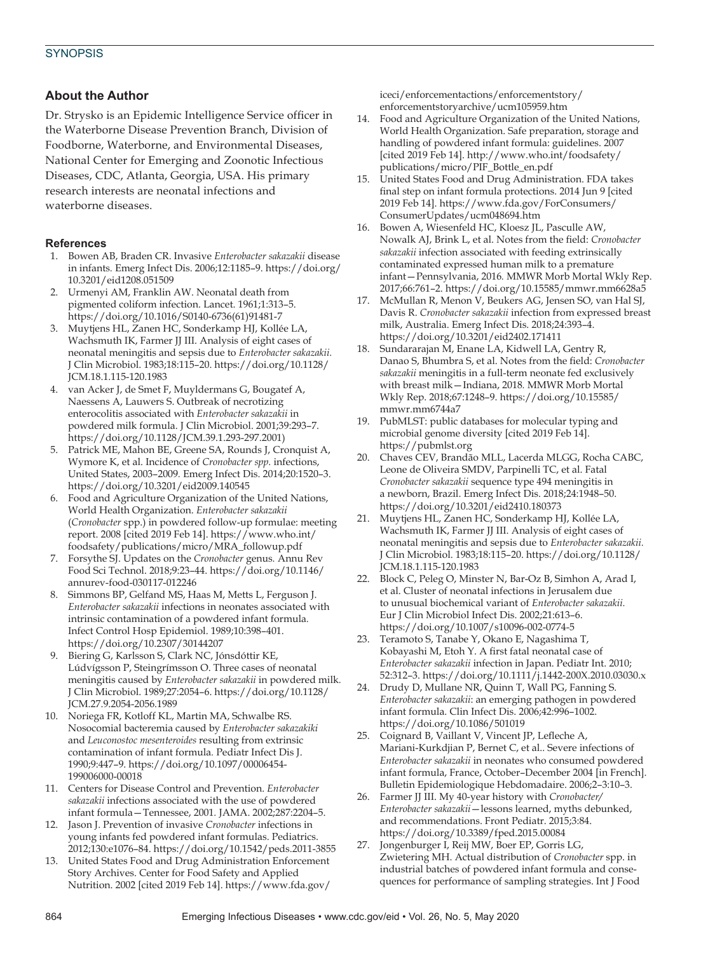#### **About the Author**

Dr. Strysko is an Epidemic Intelligence Service officer in the Waterborne Disease Prevention Branch, Division of Foodborne, Waterborne, and Environmental Diseases, National Center for Emerging and Zoonotic Infectious Diseases, CDC, Atlanta, Georgia, USA. His primary research interests are neonatal infections and waterborne diseases.

#### **References**

- 1. Bowen AB, Braden CR. Invasive *Enterobacter sakazakii* disease in infants*.* Emerg Infect Dis. 2006;12:1185–9. https://doi.org/ 10.3201/eid1208.051509
- 2. Urmenyi AM, Franklin AW. Neonatal death from pigmented coliform infection. Lancet. 1961;1:313–5. https://doi.org/10.1016/S0140-6736(61)91481-7
- 3. Muytjens HL, Zanen HC, Sonderkamp HJ, Kollée LA, Wachsmuth IK, Farmer JJ III. Analysis of eight cases of neonatal meningitis and sepsis due to *Enterobacter sakazakii.* J Clin Microbiol. 1983;18:115–20. https://doi.org/10.1128/ JCM.18.1.115-120.1983
- 4. van Acker J, de Smet F, Muyldermans G, Bougatef A, Naessens A, Lauwers S. Outbreak of necrotizing enterocolitis associated with *Enterobacter sakazakii* in powdered milk formula. J Clin Microbiol. 2001;39:293–7. https://doi.org/10.1128/JCM.39.1.293-297.2001)
- 5. Patrick ME, Mahon BE, Greene SA, Rounds J, Cronquist A, Wymore K, et al. Incidence of *Cronobacter spp.* infections, United States, 2003–2009*.* Emerg Infect Dis. 2014;20:1520–3. https://doi.org/10.3201/eid2009.140545
- Food and Agriculture Organization of the United Nations, World Health Organization. *Enterobacter sakazakii* (*Cronobacter* spp.) in powdered follow-up formulae: meeting report. 2008 [cited 2019 Feb 14]. https://www.who.int/ foodsafety/publications/micro/MRA\_followup.pdf
- 7. Forsythe SJ. Updates on the *Cronobacter* genus*.* Annu Rev Food Sci Technol. 2018;9:23–44. https://doi.org/10.1146/ annurev-food-030117-012246
- 8. Simmons BP, Gelfand MS, Haas M, Metts L, Ferguson J. *Enterobacter sakazakii* infections in neonates associated with intrinsic contamination of a powdered infant formula*.* Infect Control Hosp Epidemiol. 1989;10:398–401. https://doi.org/10.2307/30144207
- 9. Biering G, Karlsson S, Clark NC, Jónsdóttir KE, Lúdvígsson P, Steingrímsson O. Three cases of neonatal meningitis caused by *Enterobacter sakazakii* in powdered milk*.* J Clin Microbiol. 1989;27:2054–6. https://doi.org/10.1128/ JCM.27.9.2054-2056.1989
- 10. Noriega FR, Kotloff KL, Martin MA, Schwalbe RS. Nosocomial bacteremia caused by *Enterobacter sakazakiki*  and *Leuconostoc mesenteroides* resulting from extrinsic contamination of infant formula*.* Pediatr Infect Dis J. 1990;9:447–9. https://doi.org/10.1097/00006454- 199006000-00018
- 11. Centers for Disease Control and Prevention. *Enterobacter sakazakii* infections associated with the use of powdered infant formula—Tennessee, 2001*.* JAMA. 2002;287:2204–5.
- 12. Jason J. Prevention of invasive *Cronobacter* infections in young infants fed powdered infant formulas. Pediatrics. 2012;130:e1076–84. https://doi.org/10.1542/peds.2011-3855
- 13. United States Food and Drug Administration Enforcement Story Archives. Center for Food Safety and Applied Nutrition. 2002 [cited 2019 Feb 14]. https://www.fda.gov/

iceci/enforcementactions/enforcementstory/ enforcementstoryarchive/ucm105959.htm

- 14. Food and Agriculture Organization of the United Nations, World Health Organization. Safe preparation, storage and handling of powdered infant formula: guidelines. 2007 [cited 2019 Feb 14]. http://www.who.int/foodsafety/ publications/micro/PIF\_Bottle\_en.pdf
- 15. United States Food and Drug Administration. FDA takes final step on infant formula protections. 2014 Jun 9 [cited 2019 Feb 14]. https://www.fda.gov/ForConsumers/ ConsumerUpdates/ucm048694.htm
- 16. Bowen A, Wiesenfeld HC, Kloesz JL, Pasculle AW, Nowalk AJ, Brink L, et al. Notes from the field: *Cronobacter sakazakii* infection associated with feeding extrinsically contaminated expressed human milk to a premature infant—Pennsylvania, 2016*.* MMWR Morb Mortal Wkly Rep. 2017;66:761–2. https://doi.org/10.15585/mmwr.mm6628a5
- 17. McMullan R, Menon V, Beukers AG, Jensen SO, van Hal SJ, Davis R. *Cronobacter sakazakii* infection from expressed breast milk, Australia. Emerg Infect Dis. 2018;24:393–4. https://doi.org/10.3201/eid2402.171411
- 18. Sundararajan M, Enane LA, Kidwell LA, Gentry R, Danao S, Bhumbra S, et al. Notes from the field: *Cronobacter sakazakii* meningitis in a full-term neonate fed exclusively with breast milk—Indiana, 2018*.* MMWR Morb Mortal Wkly Rep. 2018;67:1248–9. https://doi.org/10.15585/ mmwr.mm6744a7
- 19. PubMLST: public databases for molecular typing and microbial genome diversity [cited 2019 Feb 14]. https://pubmlst.org
- 20. Chaves CEV, Brandão MLL, Lacerda MLGG, Rocha CABC, Leone de Oliveira SMDV, Parpinelli TC, et al. Fatal *Cronobacter sakazakii* sequence type 494 meningitis in a newborn, Brazil. Emerg Infect Dis. 2018;24:1948–50. https://doi.org/10.3201/eid2410.180373
- 21. Muytjens HL, Zanen HC, Sonderkamp HJ, Kollée LA, Wachsmuth IK, Farmer JJ III. Analysis of eight cases of neonatal meningitis and sepsis due to *Enterobacter sakazakii.* J Clin Microbiol. 1983;18:115–20. https://doi.org/10.1128/ JCM.18.1.115-120.1983
- 22. Block C, Peleg O, Minster N, Bar-Oz B, Simhon A, Arad I, et al. Cluster of neonatal infections in Jerusalem due to unusual biochemical variant of *Enterobacter sakazakii.* Eur J Clin Microbiol Infect Dis. 2002;21:613–6. https://doi.org/10.1007/s10096-002-0774-5
- 23. Teramoto S, Tanabe Y, Okano E, Nagashima T, Kobayashi M, Etoh Y. A first fatal neonatal case of *Enterobacter sakazakii* infection in Japan. Pediatr Int. 2010; 52:312–3. https://doi.org/10.1111/j.1442-200X.2010.03030.x
- 24. Drudy D, Mullane NR, Quinn T, Wall PG, Fanning S. *Enterobacter sakazakii*: an emerging pathogen in powdered infant formula. Clin Infect Dis. 2006;42:996–1002. https://doi.org/10.1086/501019
- 25. Coignard B, Vaillant V, Vincent JP, Lefleche A, Mariani-Kurkdjian P, Bernet C, et al.. Severe infections of *Enterobacter sakazakii* in neonates who consumed powdered infant formula, France, October–December 2004 [in French]. Bulletin Epidemiologique Hebdomadaire. 2006;2–3:10–3.
- 26. Farmer JJ III. My 40-year history with *Cronobacter/ Enterobacter sakazakii*—lessons learned, myths debunked, and recommendations. Front Pediatr. 2015;3:84. https://doi.org/10.3389/fped.2015.00084
- 27. Jongenburger I, Reij MW, Boer EP, Gorris LG, Zwietering MH. Actual distribution of *Cronobacter* spp. in industrial batches of powdered infant formula and consequences for performance of sampling strategies. Int J Food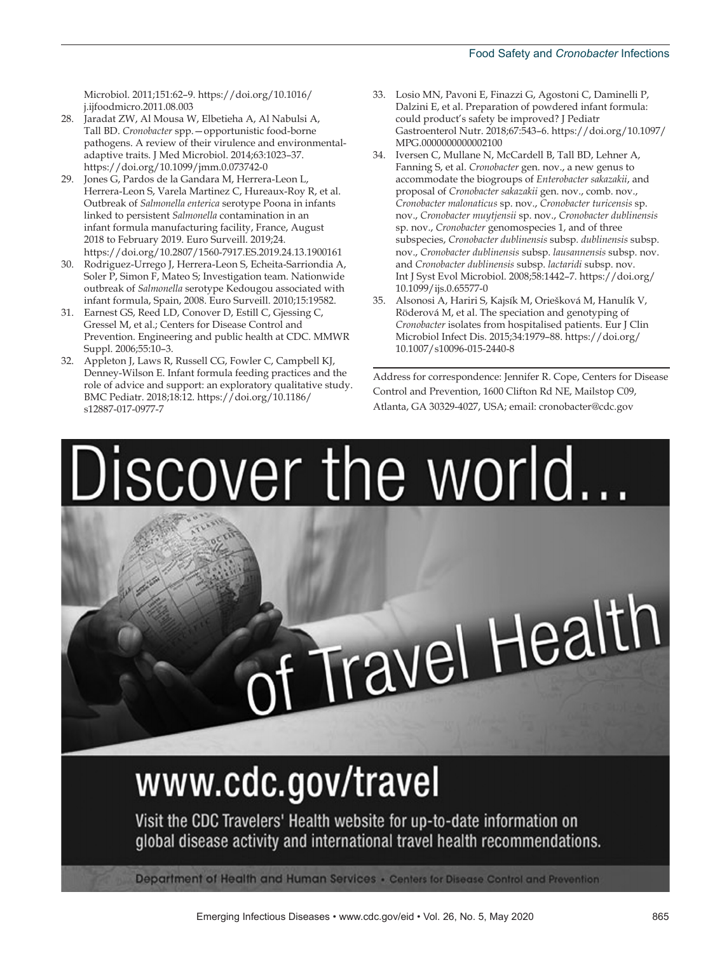Microbiol. 2011;151:62–9. https://doi.org/10.1016/ j.ijfoodmicro.2011.08.003

- 28. Jaradat ZW, Al Mousa W, Elbetieha A, Al Nabulsi A, Tall BD. *Cronobacter* spp.—opportunistic food-borne pathogens. A review of their virulence and environmentaladaptive traits. J Med Microbiol. 2014;63:1023–37. https://doi.org/10.1099/jmm.0.073742-0
- 29. Jones G, Pardos de la Gandara M, Herrera-Leon L, Herrera-Leon S, Varela Martinez C, Hureaux-Roy R, et al. Outbreak of *Salmonella enterica* serotype Poona in infants linked to persistent *Salmonella* contamination in an infant formula manufacturing facility, France, August 2018 to February 2019. Euro Surveill. 2019;24. https://doi.org/10.2807/1560-7917.ES.2019.24.13.1900161
- 30. Rodriguez-Urrego J, Herrera-Leon S, Echeita-Sarriondia A, Soler P, Simon F, Mateo S; Investigation team. Nationwide outbreak of *Salmonella* serotype Kedougou associated with infant formula, Spain, 2008. Euro Surveill. 2010;15:19582.
- 31. Earnest GS, Reed LD, Conover D, Estill C, Gjessing C, Gressel M, et al.; Centers for Disease Control and Prevention. Engineering and public health at CDC. MMWR Suppl. 2006;55:10–3.
- 32. Appleton J, Laws R, Russell CG, Fowler C, Campbell KJ, Denney-Wilson E. Infant formula feeding practices and the role of advice and support: an exploratory qualitative study. BMC Pediatr. 2018;18:12. https://doi.org/10.1186/ s12887-017-0977-7
- 33. Losio MN, Pavoni E, Finazzi G, Agostoni C, Daminelli P, Dalzini E, et al. Preparation of powdered infant formula: could product's safety be improved? J Pediatr Gastroenterol Nutr. 2018;67:543–6. https://doi.org/10.1097/ MPG.0000000000002100
- 34. Iversen C, Mullane N, McCardell B, Tall BD, Lehner A, Fanning S, et al. *Cronobacter* gen. nov., a new genus to accommodate the biogroups of *Enterobacter sakazakii*, and proposal of *Cronobacter sakazakii* gen. nov., comb. nov., *Cronobacter malonaticus* sp. nov., *Cronobacter turicensis* sp. nov., *Cronobacter muytjensii* sp. nov., *Cronobacter dublinensis*  sp. nov., *Cronobacter* genomospecies 1, and of three subspecies, *Cronobacter dublinensis* subsp*. dublinensis* subsp. nov., *Cronobacter dublinensis* subsp. *lausannensis* subsp. nov. and *Cronobacter dublinensis* subsp. *lactaridi* subsp. nov. Int J Syst Evol Microbiol. 2008;58:1442–7. https://doi.org/ 10.1099/ijs.0.65577-0
- 35. Alsonosi A, Hariri S, Kajsík M, Oriešková M, Hanulík V, Röderová M, et al. The speciation and genotyping of *Cronobacter* isolates from hospitalised patients. Eur J Clin Microbiol Infect Dis. 2015;34:1979–88. https://doi.org/ 10.1007/s10096-015-2440-8

Address for correspondence: Jennifer R. Cope, Centers for Disease Control and Prevention, 1600 Clifton Rd NE, Mailstop C09, Atlanta, GA 30329-4027, USA; email: cronobacter@cdc.gov

Discover the world... Travel Health

# www.cdc.gov/travel

Visit the CDC Travelers' Health website for up-to-date information on global disease activity and international travel health recommendations.

Department of Health and Human Services · Centers for Disease Control and Prevention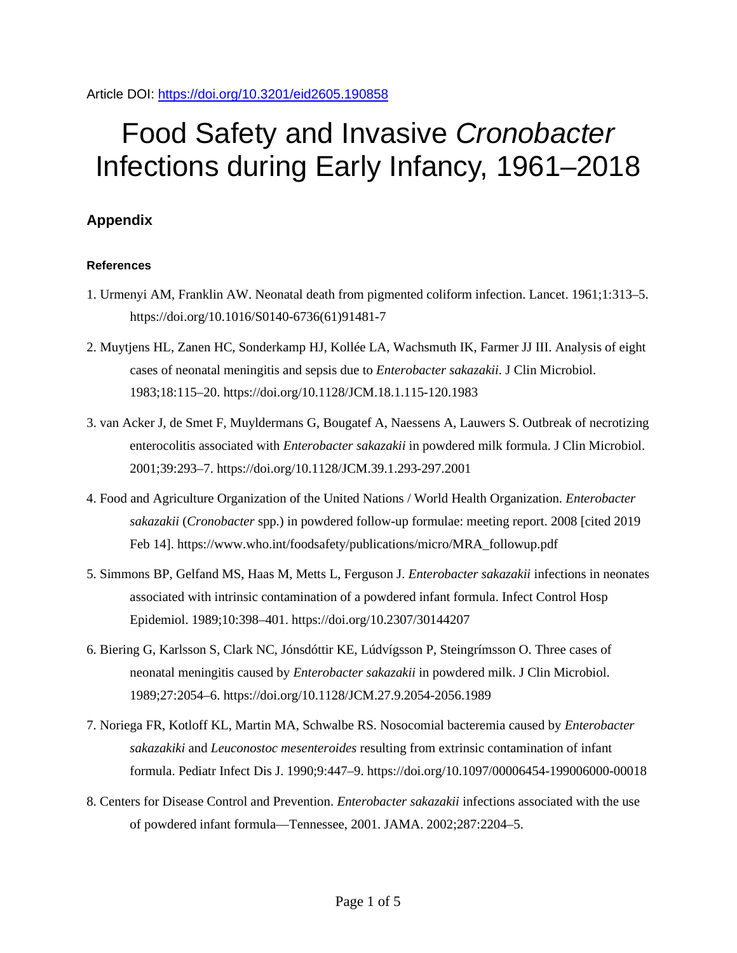Article DOI:<https://doi.org/10.3201/eid2605.190858>

## Food Safety and Invasive *Cronobacter* Infections during Early Infancy, 1961–2018

### **Appendix**

#### **References**

- 1. Urmenyi AM, Franklin AW. Neonatal death from pigmented coliform infection. Lancet. 1961;1:313–5. [https://doi.org/10.1016/S0140-6736\(61\)91481-7](https://doi.org/10.1016/S0140-6736(61)91481-7)
- 2. Muytjens HL, Zanen HC, Sonderkamp HJ, Kollée LA, Wachsmuth IK, Farmer JJ III. Analysis of eight cases of neonatal meningitis and sepsis due to *Enterobacter sakazakii*. J Clin Microbiol. 1983;18:115–20. <https://doi.org/10.1128/JCM.18.1.115-120.1983>
- 3. van Acker J, de Smet F, Muyldermans G, Bougatef A, Naessens A, Lauwers S. Outbreak of necrotizing enterocolitis associated with *Enterobacter sakazakii* in powdered milk formula. J Clin Microbiol. 2001;39:293–7. <https://doi.org/10.1128/JCM.39.1.293-297.2001>
- 4. Food and Agriculture Organization of the United Nations / World Health Organization. *Enterobacter sakazakii* (*Cronobacter* spp.) in powdered follow-up formulae: meeting report. 2008 [cited 2019 Feb 14]. https://www.who.int/foodsafety/publications/micro/MRA\_followup.pdf
- 5. Simmons BP, Gelfand MS, Haas M, Metts L, Ferguson J. *Enterobacter sakazakii* infections in neonates associated with intrinsic contamination of a powdered infant formula. Infect Control Hosp Epidemiol. 1989;10:398–401. <https://doi.org/10.2307/30144207>
- 6. Biering G, Karlsson S, Clark NC, Jónsdóttir KE, Lúdvígsson P, Steingrímsson O. Three cases of neonatal meningitis caused by *Enterobacter sakazakii* in powdered milk. J Clin Microbiol. 1989;27:2054–6. <https://doi.org/10.1128/JCM.27.9.2054-2056.1989>
- 7. Noriega FR, Kotloff KL, Martin MA, Schwalbe RS. Nosocomial bacteremia caused by *Enterobacter sakazakiki* and *Leuconostoc mesenteroides* resulting from extrinsic contamination of infant formula. Pediatr Infect Dis J. 1990;9:447–9. <https://doi.org/10.1097/00006454-199006000-00018>
- 8. Centers for Disease Control and Prevention. *Enterobacter sakazakii* infections associated with the use of powdered infant formula—Tennessee, 2001. JAMA. 2002;287:2204–5.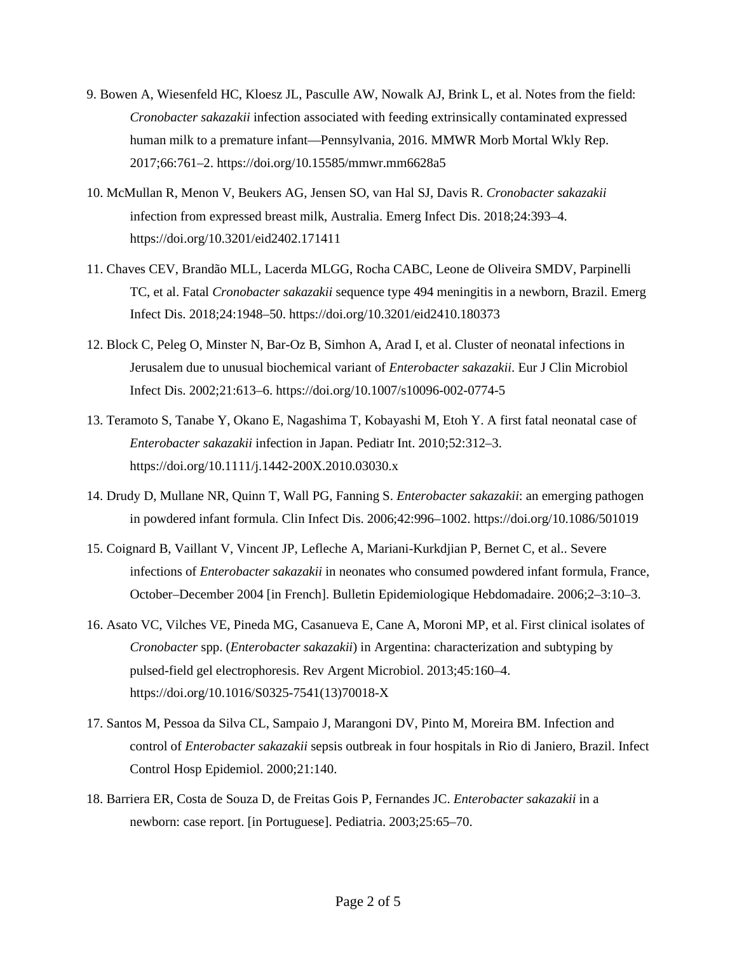- 9. Bowen A, Wiesenfeld HC, Kloesz JL, Pasculle AW, Nowalk AJ, Brink L, et al. Notes from the field: *Cronobacter sakazakii* infection associated with feeding extrinsically contaminated expressed human milk to a premature infant—Pennsylvania, 2016. MMWR Morb Mortal Wkly Rep. 2017;66:761–2. <https://doi.org/10.15585/mmwr.mm6628a5>
- 10. McMullan R, Menon V, Beukers AG, Jensen SO, van Hal SJ, Davis R. *Cronobacter sakazakii* infection from expressed breast milk, Australia. Emerg Infect Dis. 2018;24:393–4. <https://doi.org/10.3201/eid2402.171411>
- 11. Chaves CEV, Brandão MLL, Lacerda MLGG, Rocha CABC, Leone de Oliveira SMDV, Parpinelli TC, et al. Fatal *Cronobacter sakazakii* sequence type 494 meningitis in a newborn, Brazil. Emerg Infect Dis. 2018;24:1948–50. <https://doi.org/10.3201/eid2410.180373>
- 12. Block C, Peleg O, Minster N, Bar-Oz B, Simhon A, Arad I, et al. Cluster of neonatal infections in Jerusalem due to unusual biochemical variant of *Enterobacter sakazakii*. Eur J Clin Microbiol Infect Dis. 2002;21:613–6. <https://doi.org/10.1007/s10096-002-0774-5>
- 13. Teramoto S, Tanabe Y, Okano E, Nagashima T, Kobayashi M, Etoh Y. A first fatal neonatal case of *Enterobacter sakazakii* infection in Japan. Pediatr Int. 2010;52:312–3. <https://doi.org/10.1111/j.1442-200X.2010.03030.x>
- 14. Drudy D, Mullane NR, Quinn T, Wall PG, Fanning S. *Enterobacter sakazakii*: an emerging pathogen in powdered infant formula. Clin Infect Dis. 2006;42:996–1002. <https://doi.org/10.1086/501019>
- 15. Coignard B, Vaillant V, Vincent JP, Lefleche A, Mariani-Kurkdjian P, Bernet C, et al.. Severe infections of *Enterobacter sakazakii* in neonates who consumed powdered infant formula, France, October–December 2004 [in French]. Bulletin Epidemiologique Hebdomadaire. 2006;2–3:10–3.
- 16. Asato VC, Vilches VE, Pineda MG, Casanueva E, Cane A, Moroni MP, et al. First clinical isolates of *Cronobacter* spp. (*Enterobacter sakazakii*) in Argentina: characterization and subtyping by pulsed-field gel electrophoresis. Rev Argent Microbiol. 2013;45:160–4. [https://doi.org/10.1016/S0325-7541\(13\)70018-X](https://doi.org/10.1016/S0325-7541(13)70018-X)
- 17. Santos M, Pessoa da Silva CL, Sampaio J, Marangoni DV, Pinto M, Moreira BM. Infection and control of *Enterobacter sakazakii* sepsis outbreak in four hospitals in Rio di Janiero, Brazil. Infect Control Hosp Epidemiol. 2000;21:140.
- 18. Barriera ER, Costa de Souza D, de Freitas Gois P, Fernandes JC. *Enterobacter sakazakii* in a newborn: case report. [in Portuguese]. Pediatria. 2003;25:65–70.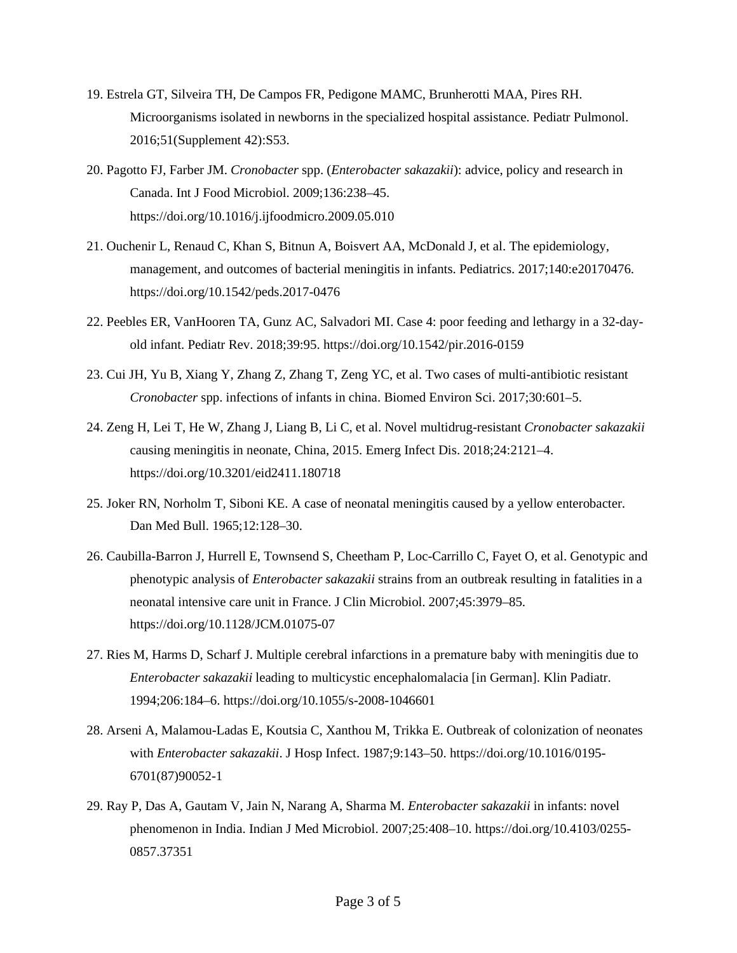- 19. Estrela GT, Silveira TH, De Campos FR, Pedigone MAMC, Brunherotti MAA, Pires RH. Microorganisms isolated in newborns in the specialized hospital assistance. Pediatr Pulmonol. 2016;51(Supplement 42):S53.
- 20. Pagotto FJ, Farber JM. *Cronobacter* spp. (*Enterobacter sakazakii*): advice, policy and research in Canada. Int J Food Microbiol. 2009;136:238–45. <https://doi.org/10.1016/j.ijfoodmicro.2009.05.010>
- 21. Ouchenir L, Renaud C, Khan S, Bitnun A, Boisvert AA, McDonald J, et al. The epidemiology, management, and outcomes of bacterial meningitis in infants. Pediatrics. 2017;140:e20170476. <https://doi.org/10.1542/peds.2017-0476>
- 22. Peebles ER, VanHooren TA, Gunz AC, Salvadori MI. Case 4: poor feeding and lethargy in a 32-dayold infant. Pediatr Rev. 2018;39:95. <https://doi.org/10.1542/pir.2016-0159>
- 23. Cui JH, Yu B, Xiang Y, Zhang Z, Zhang T, Zeng YC, et al. Two cases of multi-antibiotic resistant *Cronobacter* spp. infections of infants in china. Biomed Environ Sci. 2017;30:601–5.
- 24. Zeng H, Lei T, He W, Zhang J, Liang B, Li C, et al. Novel multidrug-resistant *Cronobacter sakazakii* causing meningitis in neonate, China, 2015. Emerg Infect Dis. 2018;24:2121–4. <https://doi.org/10.3201/eid2411.180718>
- 25. Joker RN, Norholm T, Siboni KE. A case of neonatal meningitis caused by a yellow enterobacter. Dan Med Bull. 1965;12:128–30.
- 26. Caubilla-Barron J, Hurrell E, Townsend S, Cheetham P, Loc-Carrillo C, Fayet O, et al. Genotypic and phenotypic analysis of *Enterobacter sakazakii* strains from an outbreak resulting in fatalities in a neonatal intensive care unit in France. J Clin Microbiol. 2007;45:3979–85. <https://doi.org/10.1128/JCM.01075-07>
- 27. Ries M, Harms D, Scharf J. Multiple cerebral infarctions in a premature baby with meningitis due to *Enterobacter sakazakii* leading to multicystic encephalomalacia [in German]. Klin Padiatr. 1994;206:184–6. <https://doi.org/10.1055/s-2008-1046601>
- 28. Arseni A, Malamou-Ladas E, Koutsia C, Xanthou M, Trikka E. Outbreak of colonization of neonates with *Enterobacter sakazakii*. J Hosp Infect. 1987;9:143–50. [https://doi.org/10.1016/0195-](https://doi.org/10.1016/0195-6701(87)90052-1) [6701\(87\)90052-1](https://doi.org/10.1016/0195-6701(87)90052-1)
- 29. Ray P, Das A, Gautam V, Jain N, Narang A, Sharma M. *Enterobacter sakazakii* in infants: novel phenomenon in India. Indian J Med Microbiol. 2007;25:408–10. [https://doi.org/10.4103/0255-](https://doi.org/10.4103/0255-0857.37351) [0857.37351](https://doi.org/10.4103/0255-0857.37351)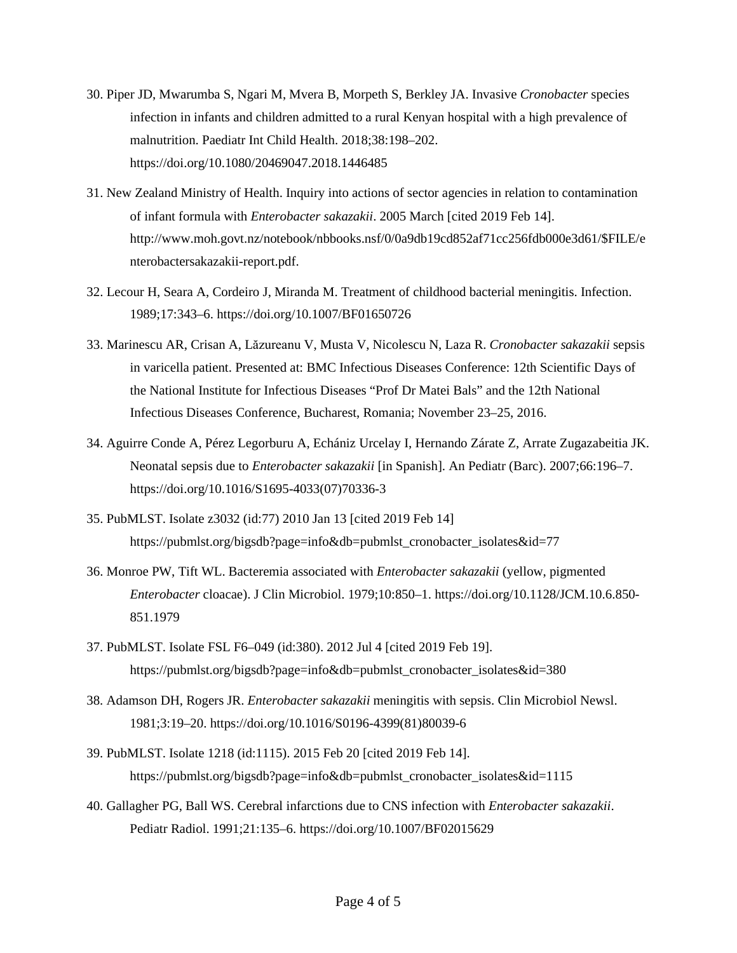- 30. Piper JD, Mwarumba S, Ngari M, Mvera B, Morpeth S, Berkley JA. Invasive *Cronobacter* species infection in infants and children admitted to a rural Kenyan hospital with a high prevalence of malnutrition. Paediatr Int Child Health. 2018;38:198–202. <https://doi.org/10.1080/20469047.2018.1446485>
- 31. New Zealand Ministry of Health. Inquiry into actions of sector agencies in relation to contamination of infant formula with *Enterobacter sakazakii*. 2005 March [cited 2019 Feb 14]. http://www.moh.govt.nz/notebook/nbbooks.nsf/0/0a9db19cd852af71cc256fdb000e3d61/\$FILE/e nterobactersakazakii-report.pdf.
- 32. Lecour H, Seara A, Cordeiro J, Miranda M. Treatment of childhood bacterial meningitis. Infection. 1989;17:343–6. <https://doi.org/10.1007/BF01650726>
- 33. Marinescu AR, Crisan A, Lăzureanu V, Musta V, Nicolescu N, Laza R. *Cronobacter sakazakii* sepsis in varicella patient. Presented at: BMC Infectious Diseases Conference: 12th Scientific Days of the National Institute for Infectious Diseases "Prof Dr Matei Bals" and the 12th National Infectious Diseases Conference, Bucharest, Romania; November 23–25, 2016.
- 34. Aguirre Conde A, Pérez Legorburu A, Echániz Urcelay I, Hernando Zárate Z, Arrate Zugazabeitia JK. Neonatal sepsis due to *Enterobacter sakazakii* [in Spanish]. An Pediatr (Barc). 2007;66:196–7. [https://doi.org/10.1016/S1695-4033\(07\)70336-3](https://doi.org/10.1016/S1695-4033(07)70336-3)
- 35. PubMLST. Isolate z3032 (id:77) 2010 Jan 13 [cited 2019 Feb 14] https://pubmlst.org/bigsdb?page=info&db=pubmlst\_cronobacter\_isolates&id=77
- 36. Monroe PW, Tift WL. Bacteremia associated with *Enterobacter sakazakii* (yellow, pigmented *Enterobacter* cloacae). J Clin Microbiol. 1979;10:850–1. [https://doi.org/10.1128/JCM.10.6.850-](https://doi.org/10.1128/JCM.10.6.850-851.1979) [851.1979](https://doi.org/10.1128/JCM.10.6.850-851.1979)
- 37. PubMLST. Isolate FSL F6–049 (id:380). 2012 Jul 4 [cited 2019 Feb 19]. https://pubmlst.org/bigsdb?page=info&db=pubmlst\_cronobacter\_isolates&id=380
- 38. Adamson DH, Rogers JR. *Enterobacter sakazakii* meningitis with sepsis. Clin Microbiol Newsl. 1981;3:19–20. [https://doi.org/10.1016/S0196-4399\(81\)80039-6](https://doi.org/10.1016/S0196-4399(81)80039-6)
- 39. PubMLST. Isolate 1218 (id:1115). 2015 Feb 20 [cited 2019 Feb 14]. https://pubmlst.org/bigsdb?page=info&db=pubmlst\_cronobacter\_isolates&id=1115
- 40. Gallagher PG, Ball WS. Cerebral infarctions due to CNS infection with *Enterobacter sakazakii*. Pediatr Radiol. 1991;21:135–6. <https://doi.org/10.1007/BF02015629>